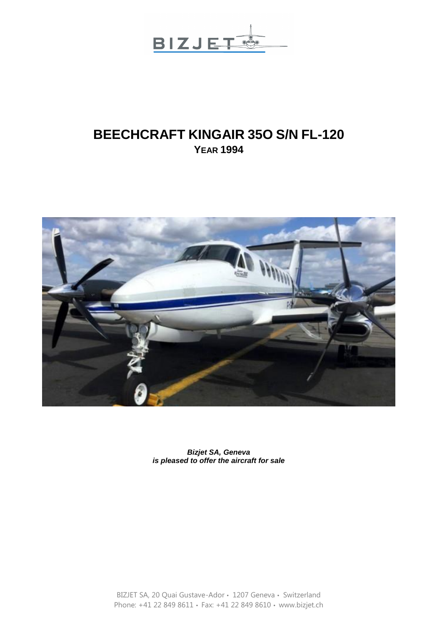

# **BEECHCRAFT KINGAIR 35O S/N FL-120 YEAR 1994**



*Bizjet SA, Geneva is pleased to offer the aircraft for sale*

BIZJET SA, 20 Quai Gustave-Ador • 1207 Geneva • Switzerland Phone: +41 22 849 8611 • Fax: +41 22 849 8610 • www.bizjet.ch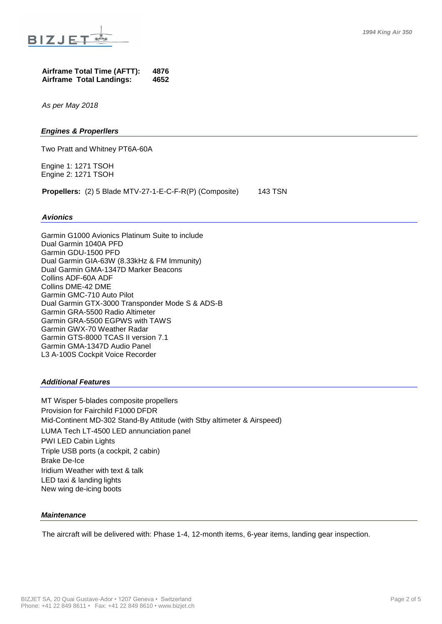

## **Airframe Total Time (AFTT): 4876 Airframe Total Landings: 4652**

*As per May 2018*

# *Engines & Properllers*

Two Pratt and Whitney PT6A-60A

Engine 1: 1271 TSOH Engine 2: 1271 TSOH

**Propellers:** (2) 5 Blade MTV-27-1-E-C-F-R(P) (Composite) 143 TSN

#### *Avionics*

Garmin G1000 Avionics Platinum Suite to include Dual Garmin 1040A PFD Garmin GDU-1500 PFD Dual Garmin GIA-63W (8.33kHz & FM Immunity) Dual Garmin GMA-1347D Marker Beacons Collins ADF-60A ADF Collins DME-42 DME Garmin GMC-710 Auto Pilot Dual Garmin GTX-3000 Transponder Mode S & ADS-B Garmin GRA-5500 Radio Altimeter Garmin GRA-5500 EGPWS with TAWS Garmin GWX-70 Weather Radar Garmin GTS-8000 TCAS II version 7.1 Garmin GMA-1347D Audio Panel L3 A-100S Cockpit Voice Recorder

# *Additional Features*

MT Wisper 5-blades composite propellers Provision for Fairchild F1000 DFDR Mid-Continent MD-302 Stand-By Attitude (with Stby altimeter & Airspeed) LUMA Tech LT-4500 LED annunciation panel PWI LED Cabin Lights Triple USB ports (a cockpit, 2 cabin) Brake De-Ice Iridium Weather with text & talk LED taxi & landing lights New wing de-icing boots

#### *Maintenance*

The aircraft will be delivered with: Phase 1-4, 12-month items, 6-year items, landing gear inspection.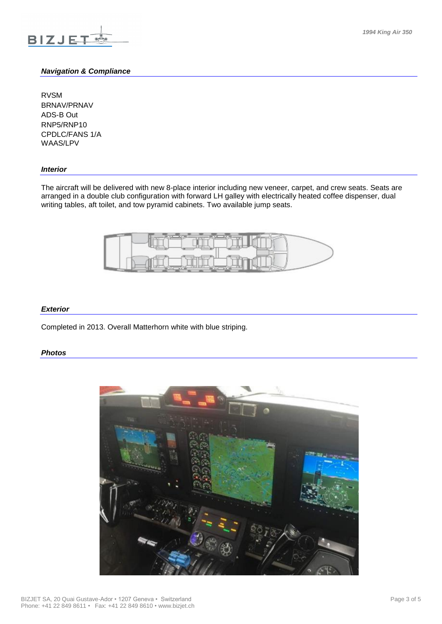

# *Navigation & Compliance*

RVSM BRNAV/PRNAV ADS-B Out RNP5/RNP10 CPDLC/FANS 1/A WAAS/LPV

# *Interior*

The aircraft will be delivered with new 8-place interior including new veneer, carpet, and crew seats. Seats are arranged in a double club configuration with forward LH galley with electrically heated coffee dispenser, dual writing tables, aft toilet, and tow pyramid cabinets. Two available jump seats.



# *Exterior*

Completed in 2013. Overall Matterhorn white with blue striping.

## *Photos*

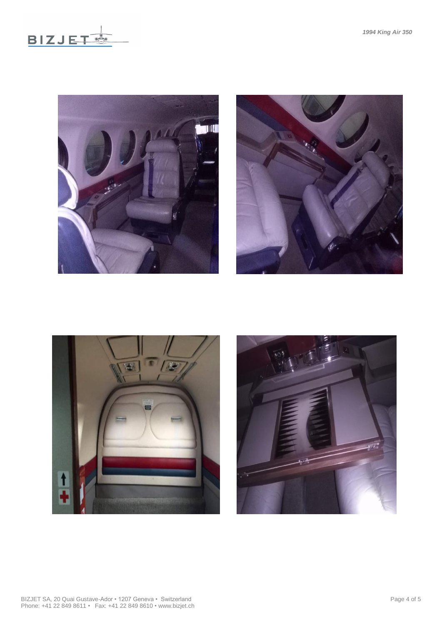